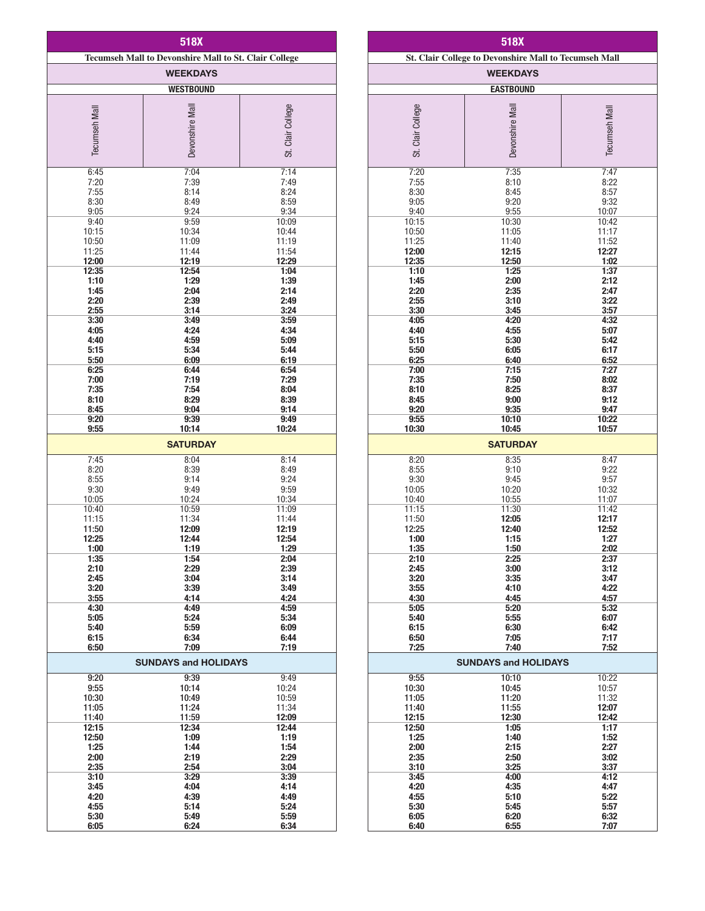| 518X                                                         |                                     |                   |  |
|--------------------------------------------------------------|-------------------------------------|-------------------|--|
| <b>Tecumseh Mall to Devonshire Mall to St. Clair College</b> |                                     |                   |  |
| <b>WEEKDAYS</b>                                              |                                     |                   |  |
| <b>WESTBOUND</b>                                             |                                     |                   |  |
| <b>Tecumseh Mall</b>                                         | Devonshire Mall                     | St. Clair College |  |
| 6:45                                                         | 7:04                                | 7:14              |  |
| 7:20                                                         | 7:39                                | 7:49              |  |
| 7:55                                                         | 8:14                                | 8:24              |  |
| 8:30                                                         | 8:49                                | 8:59              |  |
| 9:05                                                         | 9:24                                | 9:34              |  |
| 9:40                                                         | 9:59                                | 10:09             |  |
| 10:15                                                        | 10:34                               | 10:44             |  |
| 10:50                                                        | 11:09                               | 11:19             |  |
| 11:25                                                        | 11:44                               | 11:54             |  |
| 12:00                                                        | 12:19                               | 12:29             |  |
| 12:35                                                        | 12:54                               | 1:04              |  |
| 1:10                                                         | 1:29                                | 1:39              |  |
| 1:45                                                         | 2:04                                | 2:14              |  |
| 2:20                                                         | 2:39                                | 2:49              |  |
| 2:55                                                         | 3:14                                | 3:24              |  |
| 3:30                                                         | 3:49                                | 3:59              |  |
| 4:05                                                         | 4:24                                | 4:34              |  |
| 4:40                                                         | 4:59                                | 5:09              |  |
| 5:15                                                         | 5:34                                | 5:44              |  |
| 5:50                                                         | 6:09                                | 6:19              |  |
| 6:25                                                         | 6:44                                | 6:54              |  |
| 7:00                                                         | 7:19                                | 7:29              |  |
| 7:35                                                         | 7:54                                | 8:04              |  |
| 8:10                                                         | 8:29                                | 8:39              |  |
| 8:45                                                         | 9:04                                | 9:14              |  |
| 9:20                                                         | 9:39                                | 9:49              |  |
| 9:55                                                         | 10:14<br><b>SATURDAY</b>            | 10:24             |  |
| 7:45                                                         | 8:04                                | 8:14              |  |
| 8:20                                                         | 8:39                                | 8:49              |  |
| 8:55                                                         | 9:14                                | 9:24              |  |
| 9:30                                                         | 9:49                                | 9:59              |  |
| 10:05                                                        | 10:24                               | 10:34             |  |
| 10:40                                                        | 10:59                               | 11:09             |  |
| 11:15                                                        | 11:34                               | 11:44             |  |
| 11:50                                                        | 12:09                               | 12:19             |  |
| 12:25                                                        | 12:44                               | 12:54             |  |
| 1:00                                                         | 1:19                                | 1:29              |  |
| 1:35                                                         | 1:54                                | 2:04              |  |
| 2:10                                                         | 2:29                                | 2:39              |  |
| 2:45                                                         | 3:04                                | 3:14              |  |
| 3:20                                                         | 3:39                                | 3:49              |  |
| 3:55                                                         | 4:14                                | 4:24              |  |
| 4:30                                                         | 4:49                                | 4:59              |  |
| 5:05                                                         | 5:24                                | 5:34              |  |
| 5:40                                                         | 5:59                                | 6:09              |  |
| 6:15                                                         | 6:34                                | 6:44              |  |
| 6:50                                                         | 7:09<br>7:19                        |                   |  |
| 9:20                                                         | <b>SUNDAYS and HOLIDAYS</b><br>9:39 | 9:49              |  |
| 9:55                                                         | 10:14                               | 10:24             |  |
| 10:30                                                        | 10:49                               | 10:59             |  |
| 11:05                                                        | 11:24                               | 11:34             |  |
| 11:40                                                        | 11:59                               | 12:09             |  |
| 12:15                                                        | 12:34                               | 12:44             |  |
| 12:50                                                        | 1:09                                | 1:19              |  |
| 1:25                                                         | 1:44                                | 1:54              |  |
| 2:00                                                         | 2:19                                | 2:29              |  |
| 2:35                                                         | 2:54                                | 3:04              |  |
| 3:10                                                         | 3:29                                | 3:39              |  |
| 3:45                                                         | 4:04                                | 4:14              |  |
| 4:20                                                         | 4:39                                | 4:49              |  |
| 4:55                                                         | 5:14                                | 5:24              |  |
| 5:30                                                         | 5:49                                | 5:59              |  |
| 6:05                                                         | 6:24                                | 6:34              |  |

| 518X                                                         |                 |                      |  |
|--------------------------------------------------------------|-----------------|----------------------|--|
| <b>St. Clair College to Devonshire Mall to Tecumseh Mall</b> |                 |                      |  |
| <b>WEEKDAYS</b>                                              |                 |                      |  |
| <b>EASTBOUND</b>                                             |                 |                      |  |
|                                                              |                 |                      |  |
|                                                              |                 |                      |  |
|                                                              |                 |                      |  |
|                                                              |                 |                      |  |
| St. Clair College                                            | Devonshire Mall | <b>Tecumseh Mall</b> |  |
|                                                              |                 |                      |  |
| 7:20                                                         | 7:35            | 7:47                 |  |
| 7:55<br>8:30                                                 | 8:10<br>8:45    | 8:22<br>8:57         |  |
| 9:05                                                         | 9:20            | 9:32                 |  |
| 9:40                                                         | 9:55            | 10:07                |  |
| 10:15                                                        | 10:30           | 10:42                |  |
| 10:50<br>11:25                                               | 11:05<br>11:40  | 11:17<br>11:52       |  |
| 12:00                                                        | 12:15           | 12:27                |  |
| 12:35                                                        | 12:50           | 1:02                 |  |
| 1:10                                                         | 1:25            | 1:37                 |  |
| 1:45<br>2:20                                                 | 2:00<br>2:35    | 2:12<br>2:47         |  |
| 2:55                                                         | 3:10            | 3:22                 |  |
| 3:30                                                         | 3:45            | 3:57                 |  |
| 4:05<br>4:40                                                 | 4:20<br>4:55    | 4:32<br>5:07         |  |
| 5:15                                                         | 5:30            | 5:42                 |  |
| 5:50                                                         | 6:05            | 6:17                 |  |
| 6:25                                                         | 6:40            | 6:52                 |  |
| 7:00<br>7:35                                                 | 7:15<br>7:50    | 7:27<br>8:02         |  |
| 8:10                                                         | 8:25            | 8:37                 |  |
| 8:45                                                         | 9:00            | 9:12                 |  |
| 9:20                                                         | 9:35            | 9:47                 |  |
| 9:55<br>10:30                                                | 10:10<br>10:45  | 10:22<br>10:57       |  |
|                                                              |                 |                      |  |
|                                                              | <b>SATURDAY</b> |                      |  |
| 8:20                                                         | 8:35            | 8:47                 |  |
| 8:55<br>9:30                                                 | 9:10<br>9:45    | 9:22<br>9:57         |  |
| 10:05                                                        | 10:20           | 10:32                |  |
| 10:40                                                        | 10:55           | 11:07                |  |
| 11:15                                                        | 11:30           | 11:42                |  |
| 11:50<br>12:25                                               | 12:05<br>12:40  | 12:17<br>12:52       |  |
| 1:00                                                         | 1:15            | 1:27                 |  |
| 1:35                                                         | 1:50            | 2:02                 |  |
| 2:10<br>2:45                                                 | 2:25<br>3:00    | 2:37<br>3:12         |  |
| 3:20                                                         | 3:35            | 3:47                 |  |
| 3:55                                                         | 4:10            | 4:22                 |  |
| 4:30                                                         | 4:45            | 4:57                 |  |
| 5:05<br>5:40                                                 | 5:20<br>5:55    | 5:32<br>6:07         |  |
| 6:15                                                         | 6:30            | 6:42                 |  |
| 6:50                                                         | 7:05            | 7:17                 |  |
| 7:25                                                         | 7:40            | 7:52                 |  |
| <b>SUNDAYS and HOLIDAYS</b>                                  |                 |                      |  |
| 9:55                                                         | 10:10           | 10:22                |  |
| 10:30                                                        | 10:45           | 10:57                |  |
| 11:05<br>11:40                                               | 11:20<br>11:55  | 11:32<br>12:07       |  |
| 12:15                                                        | 12:30           | 12:42                |  |
| 12:50                                                        | 1:05            | 1:17                 |  |
| 1:25                                                         | 1:40            | 1:52                 |  |
| 2:00<br>2:35                                                 | 2:15<br>2:50    | 2:27<br>3:02         |  |
| 3:10                                                         | 3:25            | 3:37                 |  |
| 3:45                                                         | 4:00            | 4:12                 |  |
| 4:20                                                         | 4:35            | 4:47                 |  |
| 4:55<br>5:30                                                 | 5:10<br>5:45    | 5:22<br>5:57         |  |
| 6:05                                                         | 6:20            | 6:32                 |  |
| 6:40                                                         | 6:55            | 7:07                 |  |